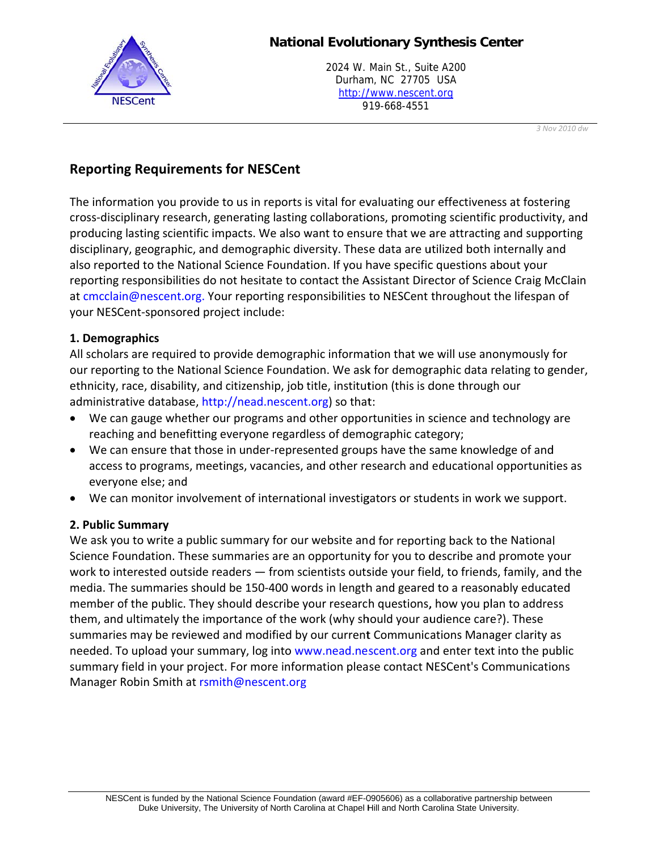

## **National Evolutionary Synthesis Center**

2024 W. Main St., Suite A200 Durham, NC 27705 USA http://www.nescent.org 919-668-4551

3 Nov 2010 dw

# **Reporting Requirements for NESCent**

The information you provide to us in reports is vital for evaluating our effectiveness at fostering cross-disciplinary research, generating lasting collaborations, promoting scientific productivity, and producing lasting scientific impacts. We also want to ensure that we are attracting and supporting disciplinary, geographic, and demographic diversity. These data are utilized both internally and also reported to the National Science Foundation. If you have specific questions about your reporting responsibilities do not hesitate to contact the Assistant Director of Science Craig McClain at cmcclain@nescent.org. Your reporting responsibilities to NESCent throughout the lifespan of your NESCent-sponsored project include:

## 1. Demographics

All scholars are required to provide demographic information that we will use anonymously for our reporting to the National Science Foundation. We ask for demographic data relating to gender, ethnicity, race, disability, and citizenship, job title, institution (this is done through our administrative database, http://nead.nescent.org) so that:

- We can gauge whether our programs and other opportunities in science and technology are  $\bullet$ reaching and benefitting everyone regardless of demographic category;
- We can ensure that those in under-represented groups have the same knowledge of and access to programs, meetings, vacancies, and other research and educational opportunities as everyone else; and
- We can monitor involvement of international investigators or students in work we support.

#### 2. Public Summary

We ask you to write a public summary for our website and for reporting back to the National Science Foundation. These summaries are an opportunity for you to describe and promote your work to interested outside readers - from scientists outside your field, to friends, family, and the media. The summaries should be 150-400 words in length and geared to a reasonably educated member of the public. They should describe your research questions, how you plan to address them, and ultimately the importance of the work (why should your audience care?). These summaries may be reviewed and modified by our current Communications Manager clarity as needed. To upload your summary, log into www.nead.nescent.org and enter text into the public summary field in your project. For more information please contact NESCent's Communications Manager Robin Smith at rsmith@nescent.org